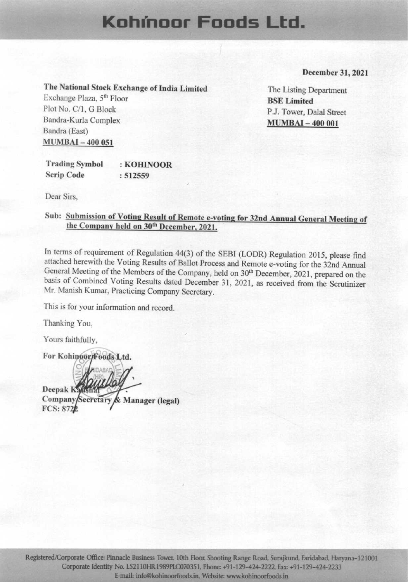# Kohmoor Foods Ltd.

#### December 31, 2021

The National Stock Exchange of India Limited

Exchange Plaza, 5<sup>th</sup> Floor Plot No. C/1, G Block Bandra-Kurla Complex Bandra (East) **MUMBAI-400 051** 

The Listing Department **BSE** Limited P.J. Tower, Dalal Street **MUMBAI-400 001** 

**Trading Symbol** : KOHINOOR **Scrip Code**  $: 512559$ 

Dear Sirs.

### Sub: Submission of Voting Result of Remote e-voting for 32nd Annual General Meeting of the Company held on 30th December, 2021.

In terms of requirement of Regulation 44(3) of the SEBI (LODR) Regulation 2015, please find attached herewith the Voting Results of Ballot Process and Remote e-voting for the 32nd Annual General Meeting of the Members of the Company, held on 30<sup>th</sup> December, 2021, prepared on the basis of Combined Voting Results dated December 31, 2021, as received from the Scrutinizer Mr. Manish Kumar, Practicing Company Secretary.

This is for your information and record.

Thanking You,

Yours faithfully.

For Kohinoor/Foods Ltd. Deepak Kausha Company/Secretary & Manager (legal) **FCS: 8720**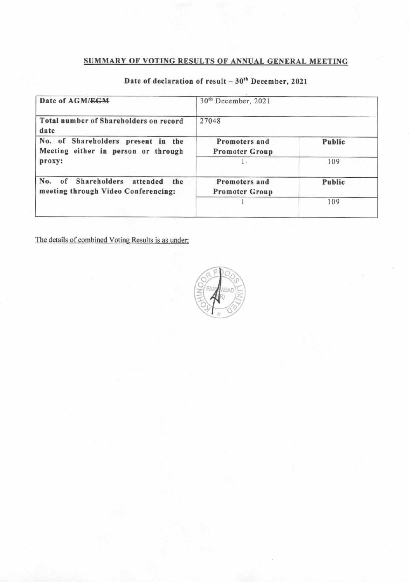# SUMMARY OF VOTING RESULTS OF ANNUAL GENERAL MEETING

| Date of AGM/EGM                                                               | 30 <sup>th</sup> December, 2021<br>27048 |        |  |  |  |
|-------------------------------------------------------------------------------|------------------------------------------|--------|--|--|--|
| Total number of Shareholders on record<br>date                                |                                          |        |  |  |  |
| No. of Shareholders present in the<br>Meeting either in person or through     | Promoters and<br><b>Promoter Group</b>   | Public |  |  |  |
| proxy:                                                                        |                                          | 109    |  |  |  |
| of Shareholders attended<br>No.<br>the<br>meeting through Video Conferencing: | Promoters and<br><b>Promoter Group</b>   | Public |  |  |  |
|                                                                               |                                          | 109    |  |  |  |

# Date of declaration of result  $-30^{th}$  December, 2021

The details of combined Voting Results is as under:

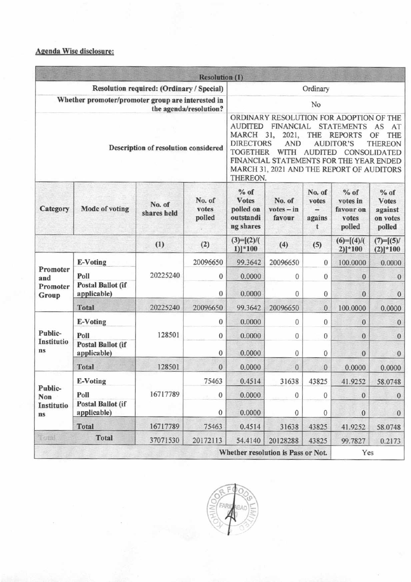#### **Agenda Wise disclosure:**

|                                                                             |                                         |                       | <b>Resolution (1)</b>     |                                                                                                                                                                                                                                                                                                                                                                                                                               |                                  |                                       |                                                    |                                                         |  |
|-----------------------------------------------------------------------------|-----------------------------------------|-----------------------|---------------------------|-------------------------------------------------------------------------------------------------------------------------------------------------------------------------------------------------------------------------------------------------------------------------------------------------------------------------------------------------------------------------------------------------------------------------------|----------------------------------|---------------------------------------|----------------------------------------------------|---------------------------------------------------------|--|
| Resolution required: (Ordinary / Special)                                   |                                         |                       |                           | Ordinary                                                                                                                                                                                                                                                                                                                                                                                                                      |                                  |                                       |                                                    |                                                         |  |
| Whether promoter/promoter group are interested in<br>the agenda/resolution? |                                         |                       |                           | No                                                                                                                                                                                                                                                                                                                                                                                                                            |                                  |                                       |                                                    |                                                         |  |
| Description of resolution considered                                        |                                         |                       |                           | ORDINARY RESOLUTION FOR ADOPTION OF THE<br><b>AUDITED</b><br><b>FINANCIAL</b><br><b>STATEMENTS</b><br>AS<br>AT<br><b>MARCH</b><br>31,<br>2021,<br>THE<br><b>REPORTS</b><br>THE<br>OF<br><b>DIRECTORS</b><br><b>AND</b><br><b>AUDITOR'S</b><br><b>THEREON</b><br><b>TOGETHER</b><br>WITH<br><b>AUDITED</b><br>CONSOLIDATED<br>FINANCIAL STATEMENTS FOR THE YEAR ENDED<br>MARCH 31, 2021 AND THE REPORT OF AUDITORS<br>THEREON. |                                  |                                       |                                                    |                                                         |  |
| Category                                                                    | Mode of voting                          | No. of<br>shares held | No. of<br>votes<br>polled | $%$ of<br><b>Votes</b><br>polled on<br>outstandi<br>ng shares                                                                                                                                                                                                                                                                                                                                                                 | No. of<br>$votes - in$<br>favour | No. of<br>votes<br>$=$<br>agains<br>t | $%$ of<br>votes in<br>favour on<br>votes<br>polled | $%$ of<br><b>Votes</b><br>against<br>on votes<br>polled |  |
|                                                                             |                                         | (1)                   | (2)                       | $(3)=[(2)/($<br>$1$ ) *100                                                                                                                                                                                                                                                                                                                                                                                                    | (4)                              | (5)                                   | $(6)=[(4)/($<br>$2)$  *100                         | $(7)=[(5)/$<br>$(2) *100$                               |  |
| Promoter<br>and<br>Promoter<br>Group                                        | E-Voting                                | 20225240              | 20096650                  | 99.3642                                                                                                                                                                                                                                                                                                                                                                                                                       | 20096650                         | $\mathbf{0}$                          | 100.0000                                           | 0.0000                                                  |  |
|                                                                             | Poll                                    |                       | $\Omega$                  | 0.0000                                                                                                                                                                                                                                                                                                                                                                                                                        | $\Omega$                         | $\Omega$                              | $\theta$                                           | $\bf{0}$                                                |  |
|                                                                             | <b>Postal Ballot (if</b><br>applicable) |                       | $\mathbf{0}$              | 0.0000                                                                                                                                                                                                                                                                                                                                                                                                                        | 0                                | $\bf{0}$                              | $\mathbf{0}$                                       | $\mathbf{0}$                                            |  |
|                                                                             | <b>Total</b>                            | 20225240              | 20096650                  | 99.3642                                                                                                                                                                                                                                                                                                                                                                                                                       | 20096650                         | $\mathbf{0}$                          | 100.0000                                           | 0.0000                                                  |  |
|                                                                             | <b>E-Voting</b>                         | 128501                | $\mathbf{0}$              | 0.0000                                                                                                                                                                                                                                                                                                                                                                                                                        | 0                                | $\mathbf{0}$                          | $\mathbf{0}$                                       | $\mathbf{0}$                                            |  |
| Public-                                                                     | Poll                                    |                       | $\Omega$                  | 0.0000                                                                                                                                                                                                                                                                                                                                                                                                                        | 0                                | $\mathbf{0}$                          | $\mathbf{0}$                                       | $\mathbf{0}$                                            |  |
| Institutio<br>ns                                                            | <b>Postal Ballot (if</b><br>applicable) |                       | 0                         | 0.0000                                                                                                                                                                                                                                                                                                                                                                                                                        | 0                                | 0                                     | $\mathbf{0}$                                       | $\mathbf{0}$                                            |  |
|                                                                             | <b>Total</b>                            | 128501                | $\mathbf{0}$              | 0.0000                                                                                                                                                                                                                                                                                                                                                                                                                        | 0                                | $\mathbf{0}$                          | 0.0000                                             | 0.0000                                                  |  |
|                                                                             | <b>E-Voting</b>                         |                       | 75463                     | 0.4514                                                                                                                                                                                                                                                                                                                                                                                                                        | 31638                            | 43825                                 | 41.9252                                            | 58.0748                                                 |  |
| Public-<br>Non<br>Institutio<br>ns                                          | Poll                                    | 16717789              | 0                         | 0.0000                                                                                                                                                                                                                                                                                                                                                                                                                        | 0                                | $\mathbf{0}$                          | $\theta$                                           | $\boldsymbol{0}$                                        |  |
|                                                                             | <b>Postal Ballot (if</b><br>applicable) |                       | 0                         | 0.0000                                                                                                                                                                                                                                                                                                                                                                                                                        | $\mathbf{0}$                     | $\bf{0}$                              | $\mathbf{0}$                                       | $\theta$                                                |  |
|                                                                             | <b>Total</b>                            | 16717789              | 75463                     | 0.4514                                                                                                                                                                                                                                                                                                                                                                                                                        | 31638                            | 43825                                 | 41.9252                                            | 58.0748                                                 |  |
| <b>Literat</b>                                                              | <b>Total</b>                            | 37071530              | 20172113                  | 54.4140                                                                                                                                                                                                                                                                                                                                                                                                                       | 20128288                         | 43825                                 | 99.7827                                            | 0.2173                                                  |  |
| Whether resolution is Pass or Not.                                          |                                         |                       |                           |                                                                                                                                                                                                                                                                                                                                                                                                                               |                                  | Yes                                   |                                                    |                                                         |  |

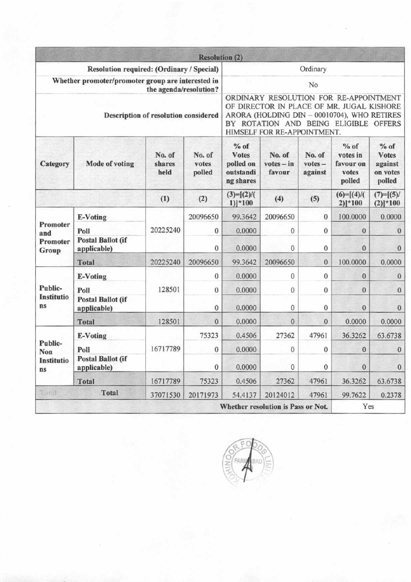|                                                                             |                                         |                          | <b>Resolution (2)</b>     |                                                                                                                                                                                                            |                                    |                                |                                                    |                                                         |  |
|-----------------------------------------------------------------------------|-----------------------------------------|--------------------------|---------------------------|------------------------------------------------------------------------------------------------------------------------------------------------------------------------------------------------------------|------------------------------------|--------------------------------|----------------------------------------------------|---------------------------------------------------------|--|
| Resolution required: (Ordinary / Special)                                   |                                         |                          |                           | Ordinary                                                                                                                                                                                                   |                                    |                                |                                                    |                                                         |  |
| Whether promoter/promoter group are interested in<br>the agenda/resolution? |                                         |                          |                           | No                                                                                                                                                                                                         |                                    |                                |                                                    |                                                         |  |
| Description of resolution considered                                        |                                         |                          |                           | ORDINARY RESOLUTION FOR RE-APPOINTMENT<br>OF DIRECTOR IN PLACE OF MR. JUGAL KISHORE<br>ARORA (HOLDING DIN - 00010704), WHO RETIRES<br>BY ROTATION AND BEING ELIGIBLE OFFERS<br>HIMSELF FOR RE-APPOINTMENT. |                                    |                                |                                                    |                                                         |  |
| Category                                                                    | <b>Mode of voting</b>                   | No. of<br>shares<br>held | No. of<br>votes<br>polled | $%$ of<br><b>Votes</b><br>polled on<br>outstandi<br>ng shares                                                                                                                                              | No. of<br>$votes - in$<br>favour   | No. of<br>$votes -$<br>against | $%$ of<br>votes in<br>favour on<br>votes<br>polled | $%$ of<br><b>Votes</b><br>against<br>on votes<br>polled |  |
|                                                                             |                                         | (1)                      | (2)                       | $(3)=[(2)/($<br>$1$ ] <sup>*</sup> 100                                                                                                                                                                     | (4)                                | (5)                            | $(6)=[(4)/$<br>$2)]*100$                           | $(7)=[(5)/$<br>$(2)]$ * 100                             |  |
|                                                                             | <b>E-Voting</b>                         | 20225240                 | 20096650                  | 99.3642                                                                                                                                                                                                    | 20096650                           | $\bf{0}$                       | 100.0000                                           | 0.0000                                                  |  |
| Promoter<br>and<br>Promoter<br>Group                                        | Poll                                    |                          | 0                         | 0.0000                                                                                                                                                                                                     | $\mathbf{0}$                       | $\mathbf{0}$                   | $\theta$                                           | $\mathbf{0}$                                            |  |
|                                                                             | <b>Postal Ballot (if</b><br>applicable) |                          | $\bf{0}$                  | 0.0000                                                                                                                                                                                                     | $\bf{0}$                           | $\boldsymbol{0}$               | $\mathbf{0}$                                       | $\mathbf{0}$                                            |  |
|                                                                             | <b>Total</b>                            | 20225240                 | 20096650                  | 99.3642                                                                                                                                                                                                    | 20096650                           | $\mathbf{0}$                   | 100.0000                                           | 0.0000                                                  |  |
|                                                                             | <b>E-Voting</b>                         | 128501                   | $\mathbf{0}$              | 0.0000                                                                                                                                                                                                     | 0                                  | $\bf{0}$                       | 0                                                  | $\mathbf{0}$                                            |  |
| Public-                                                                     | Poll                                    |                          | $\bf{0}$                  | 0.0000                                                                                                                                                                                                     | $\bf{0}$                           | $\bf{0}$                       | $\mathbf{0}$                                       | $\mathbf{0}$                                            |  |
| <b>Institutio</b><br>ns                                                     | <b>Postal Ballot (if</b><br>applicable) |                          | 0                         | 0.0000                                                                                                                                                                                                     | $\mathbf{0}$                       | $\bf{0}$                       | $\mathbf{0}$                                       | $\mathbf{0}$                                            |  |
|                                                                             | <b>Total</b>                            | 128501                   | $\mathbf{0}$              | 0.0000                                                                                                                                                                                                     | $\mathbf{0}$                       | $\boldsymbol{0}$               | 0.0000                                             | 0.0000                                                  |  |
| Public-<br>Non<br>Institutio<br>ns                                          | <b>E-Voting</b>                         |                          | 75323                     | 0.4506                                                                                                                                                                                                     | 27362                              | 47961                          | 36.3262                                            | 63.6738                                                 |  |
|                                                                             | Poll                                    | 16717789                 | $\bf{0}$                  | 0.0000                                                                                                                                                                                                     | $\bf{0}$                           | $\bf{0}$                       | $\bf{0}$                                           | $\theta$                                                |  |
|                                                                             | <b>Postal Ballot (if</b><br>applicable) |                          | $\boldsymbol{0}$          | 0.0000                                                                                                                                                                                                     | $\boldsymbol{0}$                   | $\boldsymbol{0}$               | $\boldsymbol{0}$                                   | $\boldsymbol{0}$                                        |  |
|                                                                             | <b>Total</b>                            | 16717789                 | 75323                     | 0.4506                                                                                                                                                                                                     | 27362                              | 47961                          | 36.3262                                            | 63.6738                                                 |  |
| Tüml                                                                        | <b>Total</b>                            | 37071530                 | 20171973                  | 54.4137                                                                                                                                                                                                    | 20124012                           | 47961                          | 99.7622                                            | 0.2378                                                  |  |
|                                                                             |                                         |                          |                           |                                                                                                                                                                                                            | Whether resolution is Pass or Not. |                                | Yes                                                |                                                         |  |

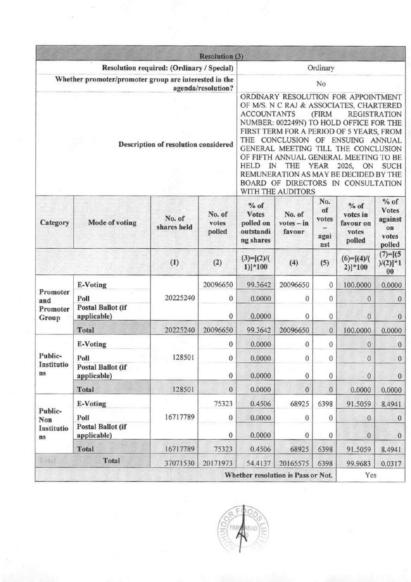|                                                                             |                                         |                       | <b>Resolution (3)</b>     |                                                                                                                                                                                                                                                                                                                                                                                                                                                                                                          |                                  |                                   |                                                    |                                                            |  |
|-----------------------------------------------------------------------------|-----------------------------------------|-----------------------|---------------------------|----------------------------------------------------------------------------------------------------------------------------------------------------------------------------------------------------------------------------------------------------------------------------------------------------------------------------------------------------------------------------------------------------------------------------------------------------------------------------------------------------------|----------------------------------|-----------------------------------|----------------------------------------------------|------------------------------------------------------------|--|
| Resolution required: (Ordinary / Special)                                   |                                         |                       |                           | Ordinary                                                                                                                                                                                                                                                                                                                                                                                                                                                                                                 |                                  |                                   |                                                    |                                                            |  |
| Whether promoter/promoter group are interested in the<br>agenda/resolution? |                                         |                       |                           | No                                                                                                                                                                                                                                                                                                                                                                                                                                                                                                       |                                  |                                   |                                                    |                                                            |  |
| Description of resolution considered                                        |                                         |                       |                           | ORDINARY RESOLUTION FOR APPOINTMENT<br>OF M/S. N C RAJ & ASSOCIATES, CHARTERED<br><b>ACCOUNTANTS</b><br>(FIRM<br><b>REGISTRATION</b><br>NUMBER: 002249N) TO HOLD OFFICE FOR THE<br>FIRST TERM FOR A PERIOD OF 5 YEARS, FROM<br>THE CONCLUSION OF ENSUING ANNUAL<br>GENERAL MEETING TILL THE CONCLUSION<br>OF FIFTH ANNUAL GENERAL MEETING TO BE<br>HELD IN<br>THE YEAR<br>2026,<br>ON<br><b>SUCH</b><br>REMUNERATION AS MAY BE DECIDED BY THE<br>BOARD OF DIRECTORS IN CONSULTATION<br>WITH THE AUDITORS |                                  |                                   |                                                    |                                                            |  |
| Category                                                                    | <b>Mode of voting</b>                   | No. of<br>shares held | No. of<br>votes<br>polled | $%$ of<br><b>Votes</b><br>polled on<br>outstandi<br>ng shares                                                                                                                                                                                                                                                                                                                                                                                                                                            | No. of<br>$votes - in$<br>favour | No.<br>of<br>votes<br>agai<br>nst | $%$ of<br>votes in<br>favour on<br>votes<br>polled | $%$ of<br><b>Votes</b><br>against<br>on<br>votes<br>polled |  |
|                                                                             |                                         | (1)                   | (2)                       | $(3)=[(2)/($<br>$1)]*100$                                                                                                                                                                                                                                                                                                                                                                                                                                                                                | (4)                              | (5)                               | $(6)=[(4)/($<br>$2)]*100$                          | $(7)=[(5$<br>$)/(2)]$ *1<br>$00\,$                         |  |
| Promoter<br>and                                                             | E-Voting                                | 20225240              | 20096650                  | 99.3642                                                                                                                                                                                                                                                                                                                                                                                                                                                                                                  | 20096650                         | $\bf{0}$                          | 100.0000                                           | 0.0000                                                     |  |
|                                                                             | Poll                                    |                       | $\bf{0}$                  | 0.0000                                                                                                                                                                                                                                                                                                                                                                                                                                                                                                   | 0                                | $\mathbf{0}$                      | $\theta$                                           | $\theta$                                                   |  |
| Promoter<br>Group                                                           | <b>Postal Ballot (if</b><br>applicable) |                       | 0                         | 0.0000                                                                                                                                                                                                                                                                                                                                                                                                                                                                                                   | 0                                | $\boldsymbol{0}$                  | $\bf{0}$                                           | $\mathbf{0}$                                               |  |
|                                                                             | <b>Total</b>                            | 20225240              | 20096650                  | 99.3642                                                                                                                                                                                                                                                                                                                                                                                                                                                                                                  | 20096650                         | $\bf{0}$                          | 100.0000                                           | 0.0000                                                     |  |
|                                                                             | <b>E-Voting</b>                         |                       | $\bf{0}$                  | 0.0000                                                                                                                                                                                                                                                                                                                                                                                                                                                                                                   | 0                                | $\mathbf{0}$                      | $\theta$                                           | $\bf{0}$                                                   |  |
| Public-<br>Institutio                                                       | Poll                                    | 128501                | $\bf{0}$                  | 0.0000                                                                                                                                                                                                                                                                                                                                                                                                                                                                                                   | $\boldsymbol{0}$                 | $\bf{0}$                          | $\bf{0}$                                           | $\mathbf{0}$                                               |  |
| ns                                                                          | <b>Postal Ballot (if</b><br>applicable) |                       | $\boldsymbol{0}$          | 0.0000                                                                                                                                                                                                                                                                                                                                                                                                                                                                                                   | $\boldsymbol{0}$                 | $\boldsymbol{0}$                  | $\boldsymbol{0}$                                   | $\bf{0}$                                                   |  |
|                                                                             | <b>Total</b>                            | 128501                | $\bf{0}$                  | 0.0000                                                                                                                                                                                                                                                                                                                                                                                                                                                                                                   | $\mathbf{0}$                     | 0                                 | 0.0000                                             | 0.0000                                                     |  |
| Public-<br>Non<br>Institutio<br>ns                                          | <b>E-Voting</b>                         |                       | 75323                     | 0.4506                                                                                                                                                                                                                                                                                                                                                                                                                                                                                                   | 68925                            | 6398                              | 91.5059                                            | 8.4941                                                     |  |
|                                                                             | Poll                                    | 16717789              | $\bf{0}$                  | 0.0000                                                                                                                                                                                                                                                                                                                                                                                                                                                                                                   | $\mathbf{0}$                     | $\mathbf{0}$                      | $\bf{0}$                                           | $\mathbf{0}$                                               |  |
|                                                                             | <b>Postal Ballot (if</b><br>applicable) |                       | $\bf{0}$                  | 0.0000                                                                                                                                                                                                                                                                                                                                                                                                                                                                                                   | $\mathbf{0}$                     | $\bf{0}$                          | $\bf{0}$                                           | $\mathbf{0}$                                               |  |
|                                                                             | <b>Total</b>                            | 16717789              | 75323                     | 0.4506                                                                                                                                                                                                                                                                                                                                                                                                                                                                                                   | 68925                            | 6398                              | 91.5059                                            | 8.4941                                                     |  |
| Foral                                                                       | <b>Total</b>                            | 54.4137               | 20165575                  | 6398                                                                                                                                                                                                                                                                                                                                                                                                                                                                                                     | 99.9683                          | 0.0317                            |                                                    |                                                            |  |
|                                                                             | Whether resolution is Pass or Not.      |                       |                           |                                                                                                                                                                                                                                                                                                                                                                                                                                                                                                          |                                  |                                   | Yes                                                |                                                            |  |